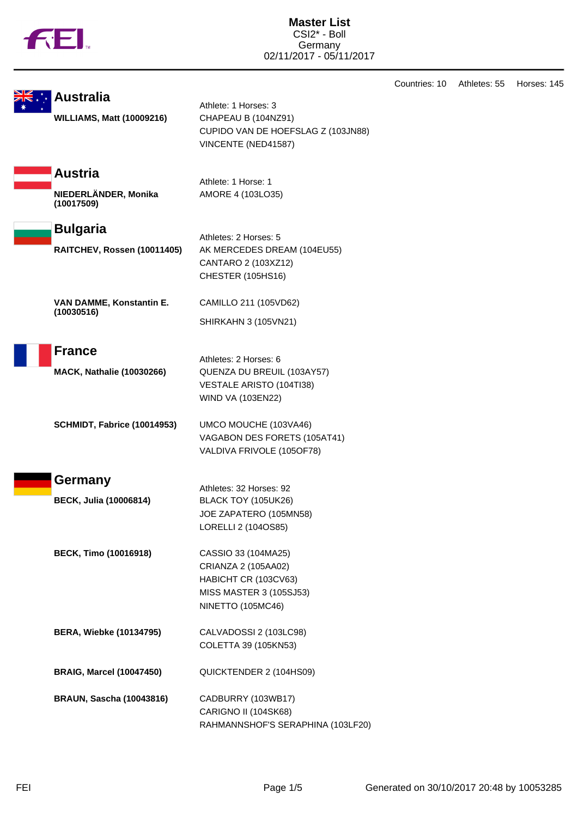|  | υ |
|--|---|
|  |   |

**Master List** CSI2\* - Boll Germany 02/11/2017 - 05/11/2017

Countries: 10 Athletes: 55 Horses: 145

|  | <del>DK</del> . Australia |     |
|--|---------------------------|-----|
|  |                           |     |
|  | WILLIAMC                  | RЛ. |

Athlete: 1 Horses: 3 **WILLIAMS, Matt (10009216)** CHAPEAU B (104NZ91) CUPIDO VAN DE HOEFSLAG Z (103JN88) VINCENTE (NED41587)

## **Austria**

**NIEDERLÄNDER, Monika (10017509)**

Athlete: 1 Horse: 1 AMORE 4 (103LO35)

**Bulgaria**

Athletes: 2 Horses: 5 **RAITCHEV, Rossen (10011405)** AK MERCEDES DREAM (104EU55) CANTARO 2 (103XZ12) CHESTER (105HS16)

CAMILLO 211 (105VD62)

SHIRKAHN 3 (105VN21)

Athletes: 2 Horses: 6

WIND VA (103EN22)

**VAN DAMME, Konstantin E. (10030516)**

**France**

**MACK, Nathalie (10030266)** QUENZA DU BREUIL (103AY57)

**SCHMIDT, Fabrice (10014953)** UMCO MOUCHE (103VA46)

VAGABON DES FORETS (105AT41) VALDIVA FRIVOLE (105OF78)

VESTALE ARISTO (104TI38)



**BECK, Julia (10006814)** BLACK TOY (105UK26)

**BECK, Timo (10016918)** CASSIO 33 (104MA25)

CRIANZA 2 (105AA02) HABICHT CR (103CV63) MISS MASTER 3 (105SJ53) NINETTO (105MC46)

Athletes: 32 Horses: 92

JOE ZAPATERO (105MN58) LORELLI 2 (104OS85)

**BERA, Wiebke (10134795)** CALVADOSSI 2 (103LC98) COLETTA 39 (105KN53)

**BRAIG, Marcel (10047450)** QUICKTENDER 2 (104HS09)

**BRAUN, Sascha (10043816)** CADBURRY (103WB17) CARIGNO II (104SK68) RAHMANNSHOF'S SERAPHINA (103LF20)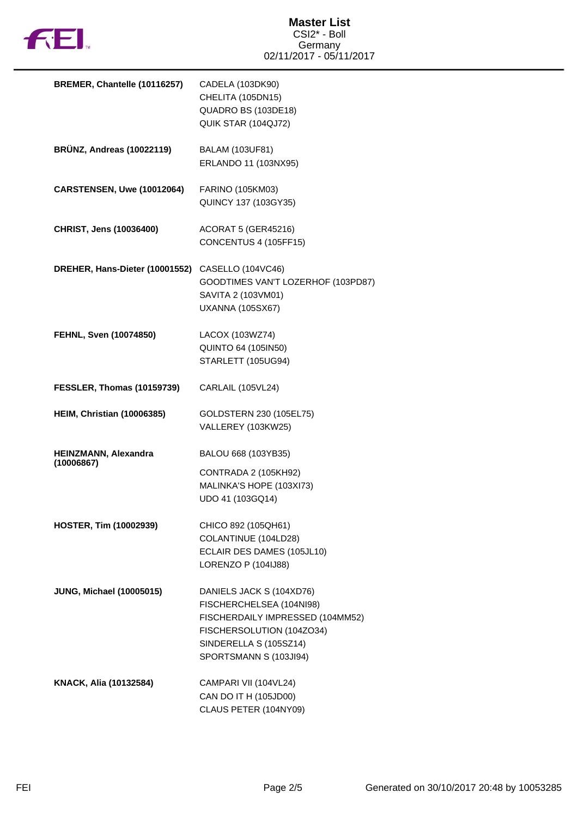

| BREMER, Chantelle (10116257)       | CADELA (103DK90)<br>CHELITA (105DN15)<br>QUADRO BS (103DE18)<br>QUIK STAR (104QJ72)                                                                                       |
|------------------------------------|---------------------------------------------------------------------------------------------------------------------------------------------------------------------------|
| <b>BRÜNZ, Andreas (10022119)</b>   | BALAM (103UF81)<br>ERLANDO 11 (103NX95)                                                                                                                                   |
| CARSTENSEN, Uwe (10012064)         | FARINO (105KM03)<br>QUINCY 137 (103GY35)                                                                                                                                  |
| CHRIST, Jens (10036400)            | <b>ACORAT 5 (GER45216)</b><br>CONCENTUS 4 (105FF15)                                                                                                                       |
| DREHER, Hans-Dieter (10001552)     | CASELLO (104VC46)<br>GOODTIMES VAN'T LOZERHOF (103PD87)<br>SAVITA 2 (103VM01)<br><b>UXANNA (105SX67)</b>                                                                  |
| FEHNL, Sven (10074850)             | LACOX (103WZ74)<br><b>QUINTO 64 (105IN50)</b><br>STARLETT (105UG94)                                                                                                       |
| <b>FESSLER, Thomas (10159739)</b>  | CARLAIL (105VL24)                                                                                                                                                         |
| <b>HEIM, Christian (10006385)</b>  | GOLDSTERN 230 (105EL75)<br>VALLEREY (103KW25)                                                                                                                             |
| HEINZMANN, Alexandra<br>(10006867) | BALOU 668 (103YB35)<br>CONTRADA 2 (105KH92)<br>MALINKA'S HOPE (103XI73)<br>UDO 41 (103GQ14)                                                                               |
| <b>HOSTER, Tim (10002939)</b>      | CHICO 892 (105QH61)<br>COLANTINUE (104LD28)<br>ECLAIR DES DAMES (105JL10)<br>LORENZO P (104IJ88)                                                                          |
| <b>JUNG, Michael (10005015)</b>    | DANIELS JACK S (104XD76)<br>FISCHERCHELSEA (104NI98)<br>FISCHERDAILY IMPRESSED (104MM52)<br>FISCHERSOLUTION (104ZO34)<br>SINDERELLA S (105SZ14)<br>SPORTSMANN S (103JI94) |
| KNACK, Alia (10132584)             | CAMPARI VII (104VL24)<br>CAN DO IT H (105JD00)<br>CLAUS PETER (104NY09)                                                                                                   |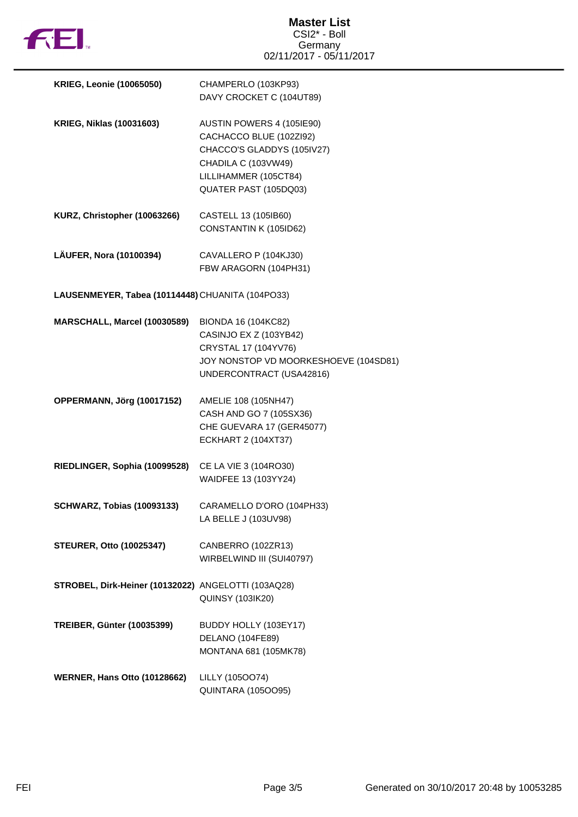

| <b>KRIEG, Leonie (10065050)</b>                     | CHAMPERLO (103KP93)<br>DAVY CROCKET C (104UT89)                                                                                                             |
|-----------------------------------------------------|-------------------------------------------------------------------------------------------------------------------------------------------------------------|
| <b>KRIEG, Niklas (10031603)</b>                     | AUSTIN POWERS 4 (105IE90)<br>CACHACCO BLUE (102ZI92)<br>CHACCO'S GLADDYS (105IV27)<br>CHADILA C (103VW49)<br>LILLIHAMMER (105CT84)<br>QUATER PAST (105DQ03) |
| KURZ, Christopher (10063266)                        | CASTELL 13 (105IB60)<br>CONSTANTIN K (105ID62)                                                                                                              |
| LÄUFER, Nora (10100394)                             | CAVALLERO P (104KJ30)<br>FBW ARAGORN (104PH31)                                                                                                              |
| LAUSENMEYER, Tabea (10114448) CHUANITA (104PO33)    |                                                                                                                                                             |
| MARSCHALL, Marcel (10030589)                        | BIONDA 16 (104KC82)<br>CASINJO EX Z (103YB42)<br>CRYSTAL 17 (104YV76)<br>JOY NONSTOP VD MOORKESHOEVE (104SD81)<br>UNDERCONTRACT (USA42816)                  |
| OPPERMANN, Jörg (10017152)                          | AMELIE 108 (105NH47)<br>CASH AND GO 7 (105SX36)<br>CHE GUEVARA 17 (GER45077)<br><b>ECKHART 2 (104XT37)</b>                                                  |
| RIEDLINGER, Sophia (10099528)                       | CE LA VIE 3 (104RO30)<br>WAIDFEE 13 (103YY24)                                                                                                               |
| <b>SCHWARZ, Tobias (10093133)</b>                   | CARAMELLO D'ORO (104PH33)<br>LA BELLE J (103UV98)                                                                                                           |
| <b>STEURER, Otto (10025347)</b>                     | CANBERRO (102ZR13)<br>WIRBELWIND III (SUI40797)                                                                                                             |
| STROBEL, Dirk-Heiner (10132022) ANGELOTTI (103AQ28) | <b>QUINSY (103IK20)</b>                                                                                                                                     |
| <b>TREIBER, Günter (10035399)</b>                   | BUDDY HOLLY (103EY17)<br>DELANO (104FE89)<br>MONTANA 681 (105MK78)                                                                                          |
| <b>WERNER, Hans Otto (10128662)</b>                 | LILLY (105OO74)<br><b>QUINTARA (105OO95)</b>                                                                                                                |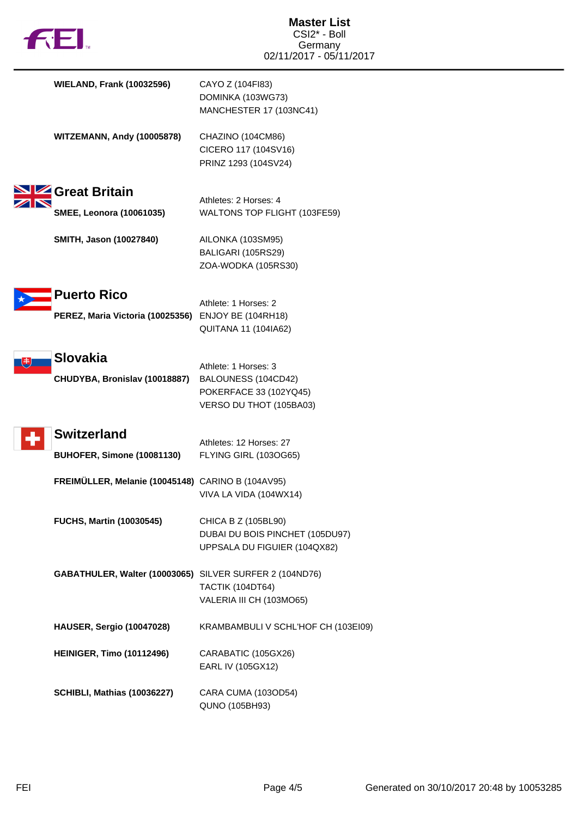|  | M |
|--|---|

| <b>WIELAND, Frank (10032596)</b>                                   | CAYO Z (104FI83)<br>DOMINKA (103WG73)<br>MANCHESTER 17 (103NC41)                                 |
|--------------------------------------------------------------------|--------------------------------------------------------------------------------------------------|
| <b>WITZEMANN, Andy (10005878)</b>                                  | CHAZINO (104CM86)<br>CICERO 117 (104SV16)<br>PRINZ 1293 (104SV24)                                |
| Great Britain                                                      | Athletes: 2 Horses: 4                                                                            |
| <b>SMEE, Leonora (10061035)</b>                                    | WALTONS TOP FLIGHT (103FE59)                                                                     |
| SMITH, Jason (10027840)                                            | AILONKA (103SM95)<br>BALIGARI (105RS29)<br>ZOA-WODKA (105RS30)                                   |
| Puerto Rico<br>PEREZ, Maria Victoria (10025356) ENJOY BE (104RH18) | Athlete: 1 Horses: 2<br><b>QUITANA 11 (104IA62)</b>                                              |
| Slovakia<br>CHUDYBA, Bronislav (10018887)                          | Athlete: 1 Horses: 3<br>BALOUNESS (104CD42)<br>POKERFACE 33 (102YQ45)<br>VERSO DU THOT (105BA03) |
| <b>Switzerland</b>                                                 | Athletes: 12 Horses: 27                                                                          |
| BUHOFER, Simone (10081130)                                         | FLYING GIRL (103OG65)                                                                            |
| FREIMÜLLER, Melanie (10045148) CARINO B (104AV95)                  | VIVA LA VIDA (104WX14)                                                                           |
| <b>FUCHS, Martin (10030545)</b>                                    | CHICA B Z (105BL90)<br>DUBAI DU BOIS PINCHET (105DU97)<br>UPPSALA DU FIGUIER (104QX82)           |
| GABATHULER, Walter (10003065) SILVER SURFER 2 (104ND76)            | <b>TACTIK (104DT64)</b><br>VALERIA III CH (103MO65)                                              |
| <b>HAUSER, Sergio (10047028)</b>                                   | KRAMBAMBULI V SCHL'HOF CH (103EI09)                                                              |
| <b>HEINIGER, Timo (10112496)</b>                                   | CARABATIC (105GX26)<br>EARL IV (105GX12)                                                         |
| <b>SCHIBLI, Mathias (10036227)</b>                                 | CARA CUMA (103OD54)<br>QUNO (105BH93)                                                            |